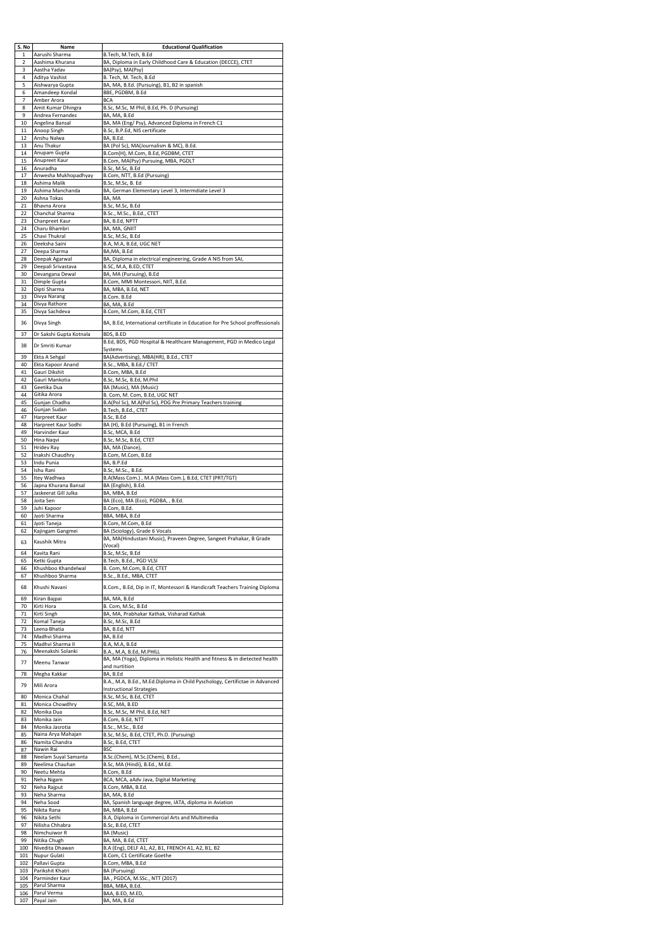| S. No      | Name                                  | <b>Educational Qualification</b>                                                                               |
|------------|---------------------------------------|----------------------------------------------------------------------------------------------------------------|
| 1<br>2     | Aarushi Sharma<br>Aashima Khurana     | B.Tech, M.Tech, B.Ed<br>BA, Diploma in Early Childhood Care & Education (DECCE), CTET                          |
| 3          | Aastha Yadav                          | BA(Psy), MA(Psy)                                                                                               |
| 4<br>5     | Aditya Vashist<br>Aishwarya Gupta     | B. Tech, M. Tech, B.Ed<br>BA, MA, B.Ed. (Pursuing), B1, B2 in spanish                                          |
| 6          | Amandeep Kondal                       | BBE, PGDBM, B.Ed                                                                                               |
| 7<br>8     | Amber Arora<br>Amit Kumar Dhingra     | <b>BCA</b><br>B.Sc, M.Sc, M Phil, B.Ed, Ph. D (Pursuing)                                                       |
| 9          | Andrea Fernandez                      | BA, MA, B.Ed                                                                                                   |
| 10<br>11   | Angelina Bansal<br>Anoop Singh        | BA, MA (Eng/ Psy), Advanced Diploma in French C1<br>B.Sc, B.P.Ed, NIS certificate                              |
| 12         | Anshu Nalwa                           | BA, B.Ed.                                                                                                      |
| 13<br>14   | Anu Thakur<br>Anupam Gupta            | BA (Pol Sc), MA(Journalism & MC), B.Ed.<br>B.Com(H), M.Com, B.Ed, PGDBM, CTET                                  |
| 15         | Anupreet Kaur                         | B.Com, MA(Psy) Pursuing, MBA, PGDLT                                                                            |
| 16<br>17   | Anuradha<br>Anwesha Mukhopadhyay      | B.Sc, M.Sc, B.Ed<br>B.Com, NTT, B.Ed (Pursuing)                                                                |
| 18         | Ashima Malik                          | B.Sc, M.Sc, B. Ed                                                                                              |
| 19<br>20   | Ashima Manchanda<br>Ashna Tokas       | BA, German Elementary Level 3, Intermdiate Level 3<br>BA, MA                                                   |
| 21         | Bhavna Arora                          | B.Sc, M.Sc, B.Ed                                                                                               |
| 22<br>23   | Chanchal Sharma<br>Chanpreet Kaur     | B.Sc., M.Sc., B.Ed., CTET<br>BA, B.Ed, NPTT                                                                    |
| 24         | Charu Bhambri                         | BA, MA, GNIIT                                                                                                  |
| 25<br>26   | Chavi Thukral<br>Deeksha Saini        | B.Sc, M.Sc, B.Ed<br>B.A, M.A, B.Ed, UGC NET                                                                    |
| 27         | Deepa Sharma                          | BA,MA, B.Ed<br>BA, Diploma in electrical engineering, Grade A NIS from SAI,                                    |
| 28<br>29   | Deepak Agarwal<br>Deepali Srivastava  | B.SC, M.A, B.ED, CTET                                                                                          |
| 30<br>31   | Devangana Dewal<br>Dimple Gupta       | BA, MA (Pursuing), B.Ed<br>B.Com, MMI Montessori, NIIT, B.Ed.                                                  |
| 32         | Dipti Sharma                          | BA, MBA, B.Ed, NET                                                                                             |
| 33<br>34   | Divya Narang<br>Divya Rathore         | B.Com. B.Ed<br>BA, MA, B.Ed                                                                                    |
| 35         | Divya Sachdeva                        | B.Com, M.Com, B.Ed, CTET                                                                                       |
| 36         | Divya Singh                           | BA, B.Ed, International certificate in Education for Pre School proffessionals                                 |
| 37         | Dr Sakshi Gupta Kotnala               | BDS, B.ED                                                                                                      |
| 38         | Dr Smriti Kumar                       | B.Ed, BDS, PGD Hospital & Healthcare Management, PGD in Medico Legal<br>Systems                                |
| 39         | Ekta A Sehgal                         | BA(Advertising), MBA(HR), B.Ed., CTET                                                                          |
| 40<br>41   | Ekta Kapoor Anand<br>Gauri Dikshit    | B.Sc., MBA, B.Ed./ CTET<br>B.Com, MBA, B.Ed                                                                    |
| 42         | Gauri Mankotia                        | B.Sc, M.Sc, B.Ed, M.Phil                                                                                       |
| 43<br>44   | Geetika Dua<br>Gitika Arora           | BA (Music), MA (Music)<br>B. Com, M. Com, B.Ed, UGC NET                                                        |
| 45         | Gunjan Chadha                         | B.A(Pol Sc), M.A(Pol Sc), PDG Pre Primary Teachers training                                                    |
| 46<br>47   | Gunjan Sudan<br>Harpreet Kaur         | B.Tech, B.Ed., CTET<br>B.Sc, B.Ed                                                                              |
| 48         | Harpreet Kaur Sodhi                   | BA (H), B.Ed (Pursuing), B1 in French                                                                          |
| 49<br>50   | Harvinder Kaur<br>Hina Naqvi          | B.Sc, MCA, B.Ed<br>B.Sc, M.Sc, B.Ed, CTET                                                                      |
| 51         | <b>Hridev Ray</b>                     | BA, MA (Dance),                                                                                                |
| 52<br>53   | Inakshi Chaudhry<br>Indu Punia        | B.Com, M.Com, B.Ed<br>BA, B.P.Ed                                                                               |
| 54<br>55   | Ishu Rani<br>Itey Wadhwa              | B.Sc, M.Sc., B.Ed.<br>B.A(Mass Com.), M.A (Mass Com.), B.Ed, CTET (PRT/TGT)                                    |
| 56         | Japna Khurana Bansal                  | BA (English), B.Ed.                                                                                            |
| 57<br>58   | Jaskeerat Gill Julka<br>Joita Sen     | BA, MBA, B.Ed<br>BA (Eco), MA (Eco), PGDBA, , B.Ed.                                                            |
| 59         | Juhi Kapoor                           | B.Com, B.Ed.                                                                                                   |
| 60<br>61   | Jyoti Sharma<br>Jyoti Taneja          | BBA, MBA, B.Ed<br>B.Com, M.Com, B.Ed                                                                           |
| 62         | Kajingam Gangmei                      | BA (Sciology), Grade 6 Vocals                                                                                  |
| 63         | Kaushik Mitra                         | BA, MA(Hindustani Music), Praveen Degree, Sangeet Prahakar, B Grade<br>(Vocal)                                 |
| 64         | Kavita Rani                           | B.Sc, M.Sc, B.Ed                                                                                               |
| 65<br>66   | Ketki Gupta<br>Khushboo Khandelwal    | B.Tech, B.Ed., PGD VLSI<br>B. Com, M.Com, B.Ed, CTET                                                           |
| 67         | Khushboo Sharma                       | B.Sc., B.Ed., MBA, CTET                                                                                        |
| 68         | Khushi Navani                         | B.Com., B.Ed, Dip in IT, Montessori & Handicraft Teachers Training Diploma                                     |
| 69         | Kiran Bajpai<br>Kirti Hora            | BA, MA, B.Ed                                                                                                   |
| 70<br>71   | Kirti Singh                           | B. Com, M.Sc, B.Ed<br>BA, MA, Prabhakar Kathak, Visharad Kathak                                                |
| 72<br>73   | Komal Taneja<br>Leena Bhatia          | B.Sc, M.Sc, B.Ed<br>BA, B.Ed, NTT                                                                              |
| 74         | Madhvi Sharma                         | BA, B.Ed                                                                                                       |
| 75<br>76   | Madhvi Sharma II<br>Meenakshi Solanki | B.A, M.A, B.Ed<br>B.A., M.A, B.Ed, M.PHILL                                                                     |
| 77         | Meenu Tanwar                          | BA, MA (Yoga), Diploma in Holistic Health and fitness & in dietected health                                    |
| 78         | Megha Kakkar                          | and nurtition<br>BA, B.Ed                                                                                      |
| 79         | Mili Arora                            | B.A., M.A, B.Ed., M.Ed.Diploma in Child Pyschology, Certifictae in Advanced<br><b>Instructional Strategies</b> |
| 80         | Monica Chahal                         | B.Sc, M.Sc, B.Ed, CTET                                                                                         |
| 81<br>82   | Monica Chowdhry<br>Monika Dua         | B.SC, MA, B.ED<br>B.Sc, M.Sc, M Phil, B.Ed, NET                                                                |
| 83         | Monika Jain                           | B.Com, B.Ed, NTT                                                                                               |
| 84<br>85   | Monika Jasrotia<br>Naina Arya Mahajan | B.Sc., M.Sc., B.Ed<br>B.Sc, M.Sc, B.Ed, CTET, Ph.D. (Pursuing)                                                 |
| 86         | Namita Chandra                        | B.Sc, B.Ed, CTET                                                                                               |
| 87<br>88   | Nawin Rai<br>Neelam Suyal Samanta     | <b>BSC</b><br>B.Sc.(Chem), M.Sc.(Chem), B.Ed.,                                                                 |
| 89         | Neelima Chauhan                       | B.Sc, MA (Hindi), B.Ed., M.Ed.                                                                                 |
| 90<br>91   | Neetu Mehta<br>Neha Nigam             | B.Com, B.Ed<br>BCA, MCA, aAdv Java, Digital Marketing                                                          |
| 92         | Neha Rajput                           | B.Com, MBA, B.Ed.                                                                                              |
| 93<br>94   | Neha Sharma<br>Neha Sood              | BA, MA, B.Ed<br>BA, Spanish language degree, IATA, diploma in Aviation                                         |
| 95         | Nikita Rana                           | BA, MBA, B.Ed                                                                                                  |
| 96<br>97   | Nikita Sethi<br>Nilisha Chhabra       | B.A, Diploma in Commercial Arts and Multimedia<br>B.Sc, B.Ed, CTET                                             |
| 98<br>99   | Nimchuiwor R<br>Nitika Chugh          | BA (Music)                                                                                                     |
| 100        | Nivedita Dhawan                       | BA, MA, B.Ed, CTET<br>B.A (Eng), DELF A1, A2, B1, FRENCH A1, A2, B1, B2                                        |
| 101<br>102 | Nupur Gulati<br>Pallavi Gupta         | B.Com, C1 Certificate Goethe<br>B.Com, MBA, B.Ed                                                               |
| 103        | Parikshit Khatri                      | BA (Pursuing)                                                                                                  |
| 104<br>105 | Parminder Kaur<br>Parul Sharma        | BA, PGDCA, M.SSc., NTT (2017)<br>BBA, MBA, B.Ed.                                                               |
| 106        | Parul Verma                           | BAA, B.ED, M.ED,                                                                                               |
| 107        | Payal Jain                            | BA, MA, B.Ed                                                                                                   |